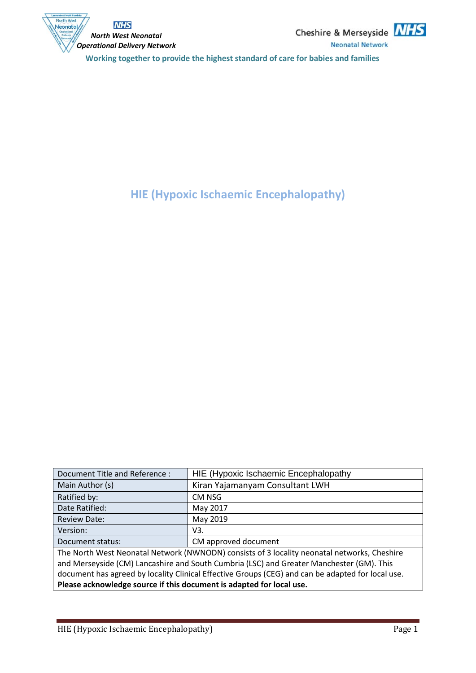



**HIE (Hypoxic Ischaemic Encephalopathy)**

| Document Title and Reference :                                                                    | HIE (Hypoxic Ischaemic Encephalopathy |  |
|---------------------------------------------------------------------------------------------------|---------------------------------------|--|
| Main Author (s)                                                                                   | Kiran Yajamanyam Consultant LWH       |  |
| Ratified by:                                                                                      | CM NSG                                |  |
| Date Ratified:                                                                                    | May 2017                              |  |
| <b>Review Date:</b>                                                                               | May 2019                              |  |
| Version:                                                                                          | V3.                                   |  |
| Document status:                                                                                  | CM approved document                  |  |
| The North West Neonatal Network (NWNODN) consists of 3 locality neonatal networks, Cheshire       |                                       |  |
| and Merseyside (CM) Lancashire and South Cumbria (LSC) and Greater Manchester (GM). This          |                                       |  |
| document has agreed by locality Clinical Effective Groups (CEG) and can be adapted for local use. |                                       |  |
| Please acknowledge source if this document is adapted for local use.                              |                                       |  |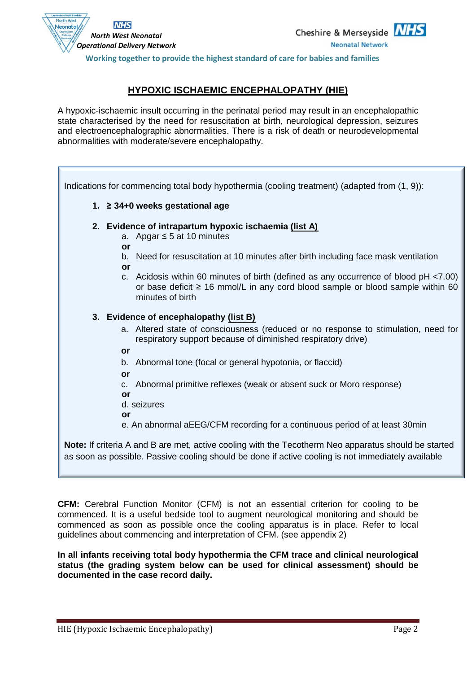

*North West Neonatal Operational Delivery Network*

**NHS** 

North West

Neonata

#### **HYPOXIC ISCHAEMIC ENCEPHALOPATHY (HIE)**

A hypoxic-ischaemic insult occurring in the perinatal period may result in an encephalopathic state characterised by the need for resuscitation at birth, neurological depression, seizures and electroencephalographic abnormalities. There is a risk of death or neurodevelopmental abnormalities with moderate/severe encephalopathy.

| Indications for commencing total body hypothermia (cooling treatment) (adapted from (1, 9)):                                                                                                    |  |  |  |
|-------------------------------------------------------------------------------------------------------------------------------------------------------------------------------------------------|--|--|--|
| 1. ≥ 34+0 weeks gestational age                                                                                                                                                                 |  |  |  |
| 2. Evidence of intrapartum hypoxic ischaemia (list A)                                                                                                                                           |  |  |  |
| a. Apgar $\leq$ 5 at 10 minutes                                                                                                                                                                 |  |  |  |
| or                                                                                                                                                                                              |  |  |  |
| b. Need for resuscitation at 10 minutes after birth including face mask ventilation                                                                                                             |  |  |  |
| or                                                                                                                                                                                              |  |  |  |
| c. Acidosis within 60 minutes of birth (defined as any occurrence of blood pH <7.00)<br>or base deficit $\geq 16$ mmol/L in any cord blood sample or blood sample within 60<br>minutes of birth |  |  |  |
| 3. Evidence of encephalopathy (list B)                                                                                                                                                          |  |  |  |
| a. Altered state of consciousness (reduced or no response to stimulation, need for<br>respiratory support because of diminished respiratory drive)                                              |  |  |  |
| or                                                                                                                                                                                              |  |  |  |
| Abnormal tone (focal or general hypotonia, or flaccid)<br>b.                                                                                                                                    |  |  |  |
| or                                                                                                                                                                                              |  |  |  |
| Abnormal primitive reflexes (weak or absent suck or Moro response)<br>$C_{\cdot}$                                                                                                               |  |  |  |
| or                                                                                                                                                                                              |  |  |  |
| d. seizures                                                                                                                                                                                     |  |  |  |
| or                                                                                                                                                                                              |  |  |  |
| e. An abnormal aEEG/CFM recording for a continuous period of at least 30min                                                                                                                     |  |  |  |
| <b>Note:</b> If criteria A and B are met, active cooling with the Tecotherm Neo apparatus should be started                                                                                     |  |  |  |

as soon as possible. Passive cooling should be done if active cooling is not immediately available

**CFM:** Cerebral Function Monitor (CFM) is not an essential criterion for cooling to be commenced. It is a useful bedside tool to augment neurological monitoring and should be commenced as soon as possible once the cooling apparatus is in place. Refer to local guidelines about commencing and interpretation of CFM. (see appendix 2)

**In all infants receiving total body hypothermia the CFM trace and clinical neurological status (the grading system below can be used for clinical assessment) should be documented in the case record daily.**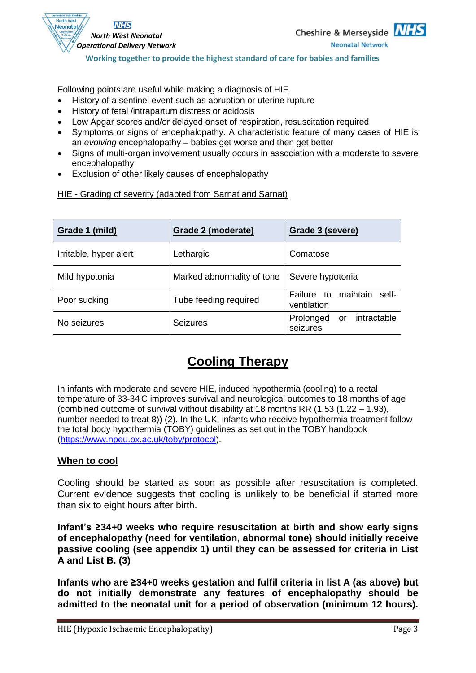

Following points are useful while making a diagnosis of HIE

- History of a sentinel event such as abruption or uterine rupture
- History of fetal /intrapartum distress or acidosis
- Low Apgar scores and/or delayed onset of respiration, resuscitation required
- Symptoms or signs of encephalopathy. A characteristic feature of many cases of HIE is an *evolving* encephalopathy – babies get worse and then get better
- Signs of multi-organ involvement usually occurs in association with a moderate to severe encephalopathy
- Exclusion of other likely causes of encephalopathy

HIE - Grading of severity (adapted from Sarnat and Sarnat)

| Grade 1 (mild)         | Grade 2 (moderate)         | Grade 3 (severe)                                  |
|------------------------|----------------------------|---------------------------------------------------|
| Irritable, hyper alert | Lethargic                  | Comatose                                          |
| Mild hypotonia         | Marked abnormality of tone | Severe hypotonia                                  |
| Poor sucking           | Tube feeding required      | maintain<br>self-<br>Failure to<br>ventilation    |
| No seizures            | <b>Seizures</b>            | intractable<br>Prolonged<br><b>or</b><br>seizures |

# **Cooling Therapy**

In infants with moderate and severe HIE, induced hypothermia (cooling) to a rectal temperature of 33-34 C improves survival and neurological outcomes to 18 months of age (combined outcome of survival without disability at 18 months RR (1.53 (1.22 – 1.93), number needed to treat 8)) (2). In the UK, infants who receive hypothermia treatment follow the total body hypothermia (TOBY) guidelines as set out in the TOBY handbook [\(https://www.npeu.ox.ac.uk/toby/protocol\)](https://www.npeu.ox.ac.uk/toby/protocol).

#### **When to cool**

Cooling should be started as soon as possible after resuscitation is completed. Current evidence suggests that cooling is unlikely to be beneficial if started more than six to eight hours after birth.

**Infant's ≥34+0 weeks who require resuscitation at birth and show early signs of encephalopathy (need for ventilation, abnormal tone) should initially receive passive cooling (see appendix 1) until they can be assessed for criteria in List A and List B. (3)**

**Infants who are ≥34+0 weeks gestation and fulfil criteria in list A (as above) but do not initially demonstrate any features of encephalopathy should be admitted to the neonatal unit for a period of observation (minimum 12 hours).**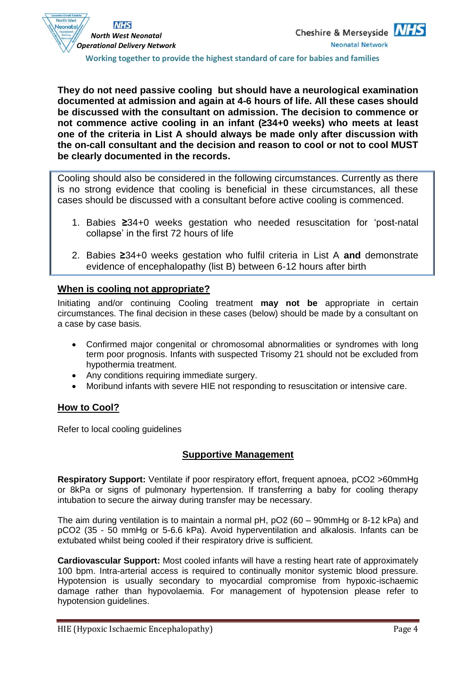

**They do not need passive cooling but should have a neurological examination documented at admission and again at 4-6 hours of life. All these cases should be discussed with the consultant on admission. The decision to commence or not commence active cooling in an infant (≥34+0 weeks) who meets at least one of the criteria in List A should always be made only after discussion with the on-call consultant and the decision and reason to cool or not to cool MUST be clearly documented in the records.**

Cooling should also be considered in the following circumstances. Currently as there is no strong evidence that cooling is beneficial in these circumstances, all these cases should be discussed with a consultant before active cooling is commenced.

- 1. Babies **≥**34+0 weeks gestation who needed resuscitation for 'post-natal collapse' in the first 72 hours of life
- 2. Babies **≥**34+0 weeks gestation who fulfil criteria in List A **and** demonstrate evidence of encephalopathy (list B) between 6-12 hours after birth

#### **When is cooling not appropriate?**

Initiating and/or continuing Cooling treatment **may not be** appropriate in certain circumstances. The final decision in these cases (below) should be made by a consultant on a case by case basis.

- Confirmed major congenital or chromosomal abnormalities or syndromes with long term poor prognosis. Infants with suspected Trisomy 21 should not be excluded from hypothermia treatment.
- Any conditions requiring immediate surgery.
- Moribund infants with severe HIE not responding to resuscitation or intensive care.

#### **How to Cool?**

Refer to local cooling guidelines

#### **Supportive Management**

**Respiratory Support:** Ventilate if poor respiratory effort, frequent apnoea, pCO2 >60mmHg or 8kPa or signs of pulmonary hypertension. If transferring a baby for cooling therapy intubation to secure the airway during transfer may be necessary.

The aim during ventilation is to maintain a normal pH, pO2 (60 – 90mmHg or 8-12 kPa) and pCO2 (35 - 50 mmHg or 5-6.6 kPa). Avoid hyperventilation and alkalosis. Infants can be extubated whilst being cooled if their respiratory drive is sufficient.

**Cardiovascular Support:** Most cooled infants will have a resting heart rate of approximately 100 bpm. Intra-arterial access is required to continually monitor systemic blood pressure. Hypotension is usually secondary to myocardial compromise from hypoxic-ischaemic damage rather than hypovolaemia. For management of hypotension please refer to hypotension guidelines.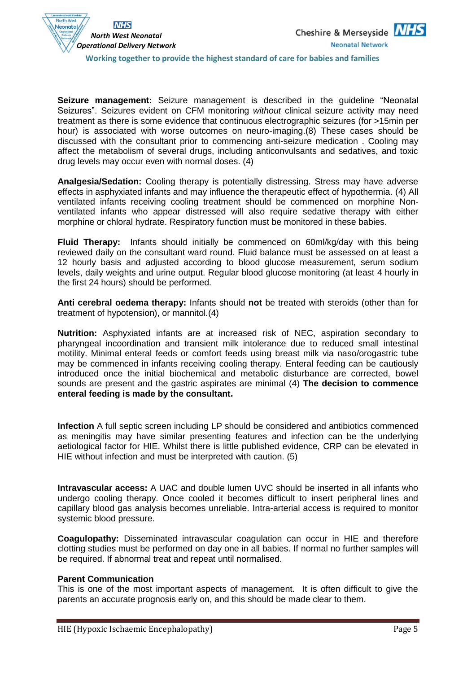

**Seizure management:** Seizure management is described in the guideline "Neonatal Seizures". Seizures evident on CFM monitoring *without* clinical seizure activity may need treatment as there is some evidence that continuous electrographic seizures (for >15min per hour) is associated with worse outcomes on neuro-imaging.(8) These cases should be discussed with the consultant prior to commencing anti-seizure medication . Cooling may affect the metabolism of several drugs, including anticonvulsants and sedatives, and toxic drug levels may occur even with normal doses. (4)

**Analgesia/Sedation:** Cooling therapy is potentially distressing. Stress may have adverse effects in asphyxiated infants and may influence the therapeutic effect of hypothermia. (4) All ventilated infants receiving cooling treatment should be commenced on morphine Nonventilated infants who appear distressed will also require sedative therapy with either morphine or chloral hydrate. Respiratory function must be monitored in these babies.

**Fluid Therapy:** Infants should initially be commenced on 60ml/kg/day with this being reviewed daily on the consultant ward round. Fluid balance must be assessed on at least a 12 hourly basis and adjusted according to blood glucose measurement, serum sodium levels, daily weights and urine output. Regular blood glucose monitoring (at least 4 hourly in the first 24 hours) should be performed.

**Anti cerebral oedema therapy:** Infants should **not** be treated with steroids (other than for treatment of hypotension), or mannitol.(4)

**Nutrition:** Asphyxiated infants are at increased risk of NEC, aspiration secondary to pharyngeal incoordination and transient milk intolerance due to reduced small intestinal motility. Minimal enteral feeds or comfort feeds using breast milk via naso/orogastric tube may be commenced in infants receiving cooling therapy. Enteral feeding can be cautiously introduced once the initial biochemical and metabolic disturbance are corrected, bowel sounds are present and the gastric aspirates are minimal (4) **The decision to commence enteral feeding is made by the consultant.**

**Infection** A full septic screen including LP should be considered and antibiotics commenced as meningitis may have similar presenting features and infection can be the underlying aetiological factor for HIE. Whilst there is little published evidence, CRP can be elevated in HIE without infection and must be interpreted with caution. (5)

**Intravascular access:** A UAC and double lumen UVC should be inserted in all infants who undergo cooling therapy. Once cooled it becomes difficult to insert peripheral lines and capillary blood gas analysis becomes unreliable. Intra-arterial access is required to monitor systemic blood pressure.

**Coagulopathy:** Disseminated intravascular coagulation can occur in HIE and therefore clotting studies must be performed on day one in all babies. If normal no further samples will be required. If abnormal treat and repeat until normalised.

#### **Parent Communication**

This is one of the most important aspects of management. It is often difficult to give the parents an accurate prognosis early on, and this should be made clear to them.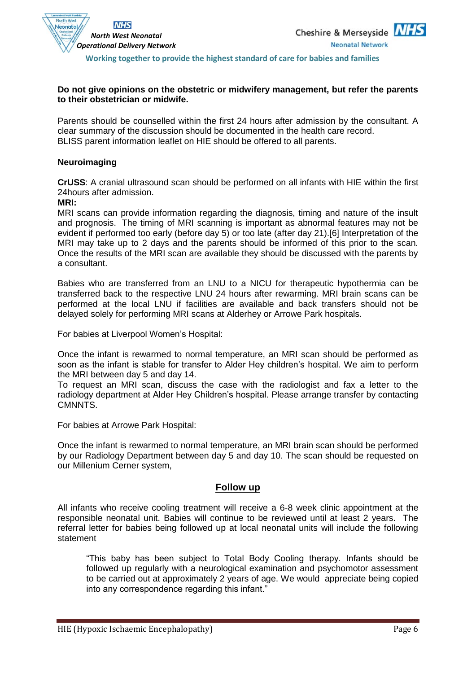

#### **Do not give opinions on the obstetric or midwifery management, but refer the parents to their obstetrician or midwife.**

Parents should be counselled within the first 24 hours after admission by the consultant. A clear summary of the discussion should be documented in the health care record. BLISS parent information leaflet on HIE should be offered to all parents.

#### **Neuroimaging**

**CrUSS**: A cranial ultrasound scan should be performed on all infants with HIE within the first 24hours after admission.

**MRI:** 

MRI scans can provide information regarding the diagnosis, timing and nature of the insult and prognosis. The timing of MRI scanning is important as abnormal features may not be evident if performed too early (before day 5) or too late (after day 21).[6] Interpretation of the MRI may take up to 2 days and the parents should be informed of this prior to the scan. Once the results of the MRI scan are available they should be discussed with the parents by a consultant.

Babies who are transferred from an LNU to a NICU for therapeutic hypothermia can be transferred back to the respective LNU 24 hours after rewarming. MRI brain scans can be performed at the local LNU if facilities are available and back transfers should not be delayed solely for performing MRI scans at Alderhey or Arrowe Park hospitals.

For babies at Liverpool Women's Hospital:

Once the infant is rewarmed to normal temperature, an MRI scan should be performed as soon as the infant is stable for transfer to Alder Hey children's hospital. We aim to perform the MRI between day 5 and day 14.

To request an MRI scan, discuss the case with the radiologist and fax a letter to the radiology department at Alder Hey Children's hospital. Please arrange transfer by contacting CMNNTS.

For babies at Arrowe Park Hospital:

Once the infant is rewarmed to normal temperature, an MRI brain scan should be performed by our Radiology Department between day 5 and day 10. The scan should be requested on our Millenium Cerner system,

#### **Follow up**

All infants who receive cooling treatment will receive a 6-8 week clinic appointment at the responsible neonatal unit. Babies will continue to be reviewed until at least 2 years. The referral letter for babies being followed up at local neonatal units will include the following statement

"This baby has been subject to Total Body Cooling therapy. Infants should be followed up regularly with a neurological examination and psychomotor assessment to be carried out at approximately 2 years of age. We would appreciate being copied into any correspondence regarding this infant."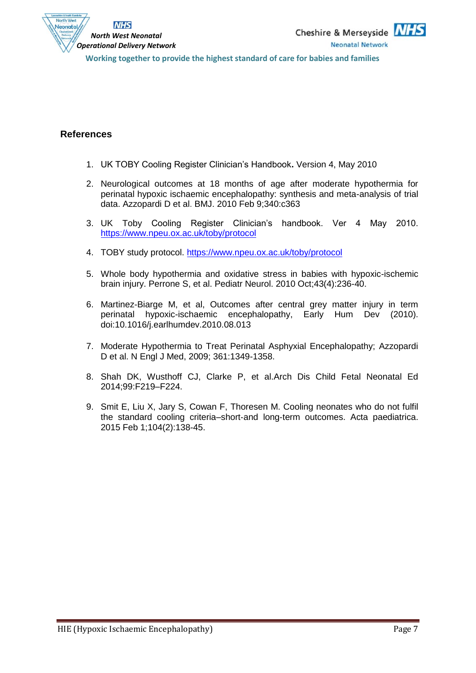

### **References**

- 1. UK TOBY Cooling Register Clinician's Handbook**.** Version 4, May 2010
- 2. Neurological outcomes at 18 months of age after moderate hypothermia for perinatal hypoxic ischaemic encephalopathy: synthesis and meta-analysis of trial data. Azzopardi D et al. BMJ. 2010 Feb 9;340:c363
- 3. UK Toby Cooling Register Clinician's handbook. Ver 4 May 2010. <https://www.npeu.ox.ac.uk/toby/protocol>
- 4. TOBY study protocol.<https://www.npeu.ox.ac.uk/toby/protocol>
- 5. Whole body hypothermia and oxidative stress in babies with hypoxic-ischemic brain injury. [Perrone S,](http://www.ncbi.nlm.nih.gov/pubmed?term=%22Perrone%20S%22%5BAuthor%5D) et al. [Pediatr Neurol.](javascript:AL_get(this,%20) 2010 Oct;43(4):236-40.
- 6. Martinez-Biarge M, et al, Outcomes after central grey matter injury in term perinatal hypoxic-ischaemic encephalopathy, Early Hum Dev (2010). doi:10.1016/j.earlhumdev.2010.08.013
- 7. Moderate Hypothermia to Treat Perinatal Asphyxial Encephalopathy; Azzopardi D et al. N Engl J Med, 2009; 361:1349-1358.
- 8. Shah DK, Wusthoff CJ, Clarke P, et al.Arch Dis Child Fetal Neonatal Ed 2014;99:F219–F224.
- 9. Smit E, Liu X, Jary S, Cowan F, Thoresen M. Cooling neonates who do not fulfil the standard cooling criteria–short‐and long‐term outcomes. Acta paediatrica. 2015 Feb 1;104(2):138-45.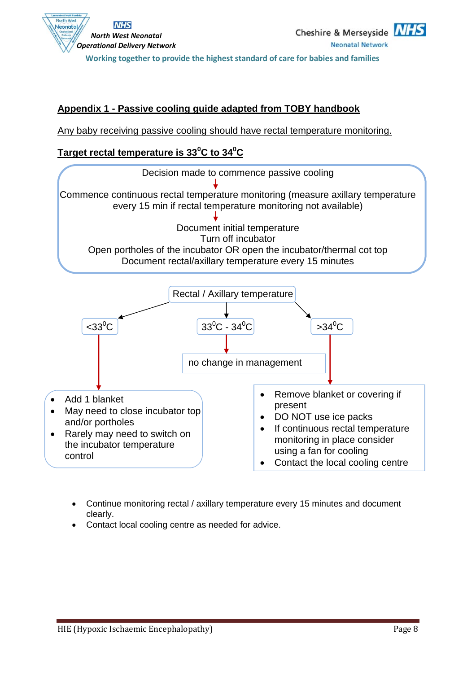

### **Appendix 1 - Passive cooling guide adapted from TOBY handbook**

Any baby receiving passive cooling should have rectal temperature monitoring.

### **Target rectal temperature is 33<sup>0</sup>C to 34<sup>0</sup>C**



- Continue monitoring rectal / axillary temperature every 15 minutes and document clearly.
- Contact local cooling centre as needed for advice.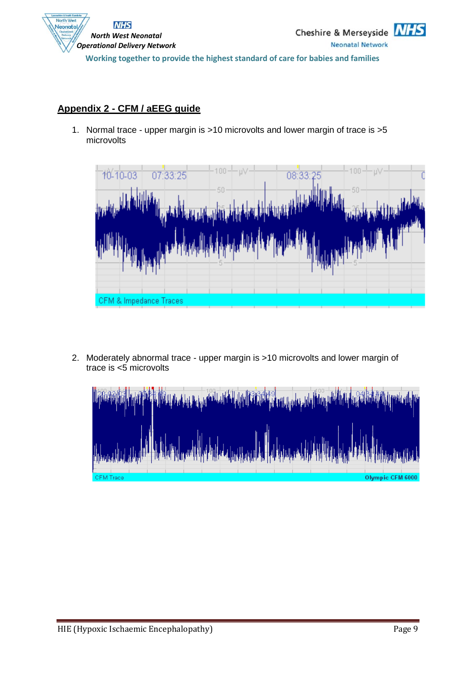

## **Appendix 2 - CFM / aEEG guide**

1. Normal trace - upper margin is >10 microvolts and lower margin of trace is >5 microvolts



2. Moderately abnormal trace - upper margin is >10 microvolts and lower margin of trace is <5 microvolts